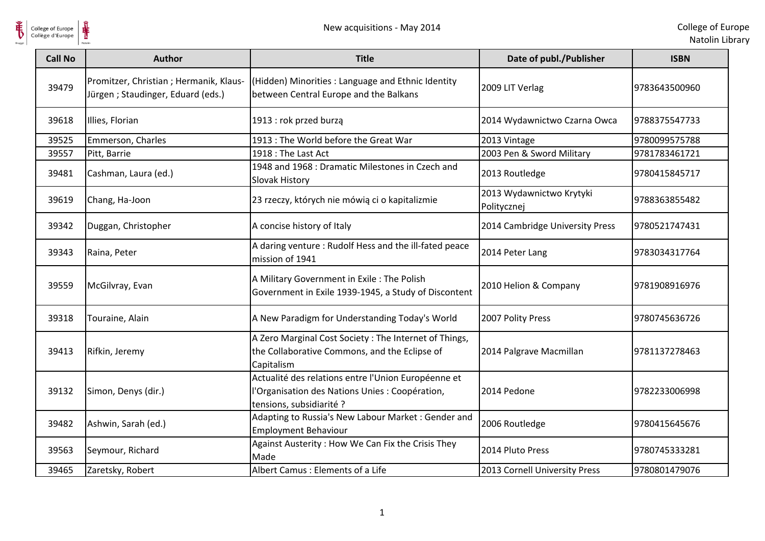

| College of Europe<br>Collège d'Europe | ⋕                                                                            | New acquisitions - May 2014                                                                                                        |                                         | College of Eur<br>Natolin Lib |
|---------------------------------------|------------------------------------------------------------------------------|------------------------------------------------------------------------------------------------------------------------------------|-----------------------------------------|-------------------------------|
| <b>Call No</b>                        | <b>Author</b>                                                                | <b>Title</b>                                                                                                                       | Date of publ./Publisher                 | <b>ISBN</b>                   |
| 39479                                 | Promitzer, Christian ; Hermanik, Klaus-<br>Jürgen; Staudinger, Eduard (eds.) | (Hidden) Minorities : Language and Ethnic Identity<br>between Central Europe and the Balkans                                       | 2009 LIT Verlag                         | 9783643500960                 |
| 39618                                 | Illies, Florian                                                              | 1913 : rok przed burzą                                                                                                             | 2014 Wydawnictwo Czarna Owca            | 9788375547733                 |
| 39525                                 | Emmerson, Charles                                                            | 1913 : The World before the Great War                                                                                              | 2013 Vintage                            | 9780099575788                 |
| 39557                                 | Pitt, Barrie                                                                 | 1918 : The Last Act                                                                                                                | 2003 Pen & Sword Military               | 9781783461721                 |
| 39481                                 | Cashman, Laura (ed.)                                                         | 1948 and 1968 : Dramatic Milestones in Czech and<br>Slovak History                                                                 | 2013 Routledge                          | 9780415845717                 |
| 39619                                 | Chang, Ha-Joon                                                               | 23 rzeczy, których nie mówią ci o kapitalizmie                                                                                     | 2013 Wydawnictwo Krytyki<br>Politycznej | 9788363855482                 |
| 39342                                 | Duggan, Christopher                                                          | A concise history of Italy                                                                                                         | 2014 Cambridge University Press         | 9780521747431                 |
| 39343                                 | Raina, Peter                                                                 | A daring venture : Rudolf Hess and the ill-fated peace<br>mission of 1941                                                          | 2014 Peter Lang                         | 9783034317764                 |
| 39559                                 | McGilvray, Evan                                                              | A Military Government in Exile: The Polish<br>Government in Exile 1939-1945, a Study of Discontent                                 | 2010 Helion & Company                   | 9781908916976                 |
| 39318                                 | Touraine, Alain                                                              | A New Paradigm for Understanding Today's World                                                                                     | 2007 Polity Press                       | 9780745636726                 |
| 39413                                 | Rifkin, Jeremy                                                               | A Zero Marginal Cost Society: The Internet of Things,<br>the Collaborative Commons, and the Eclipse of<br>Capitalism               | 2014 Palgrave Macmillan                 | 9781137278463                 |
| 39132                                 | Simon, Denys (dir.)                                                          | Actualité des relations entre l'Union Européenne et<br>l'Organisation des Nations Unies : Coopération,<br>tensions, subsidiarité ? | 2014 Pedone                             | 9782233006998                 |
| 39482                                 | Ashwin, Sarah (ed.)                                                          | Adapting to Russia's New Labour Market: Gender and<br><b>Employment Behaviour</b>                                                  | 2006 Routledge                          | 9780415645676                 |
| 39563                                 | Seymour, Richard                                                             | Against Austerity: How We Can Fix the Crisis They<br>Made                                                                          | 2014 Pluto Press                        | 9780745333281                 |
| 39465                                 | Zaretsky, Robert                                                             | Albert Camus : Elements of a Life                                                                                                  | 2013 Cornell University Press           | 9780801479076                 |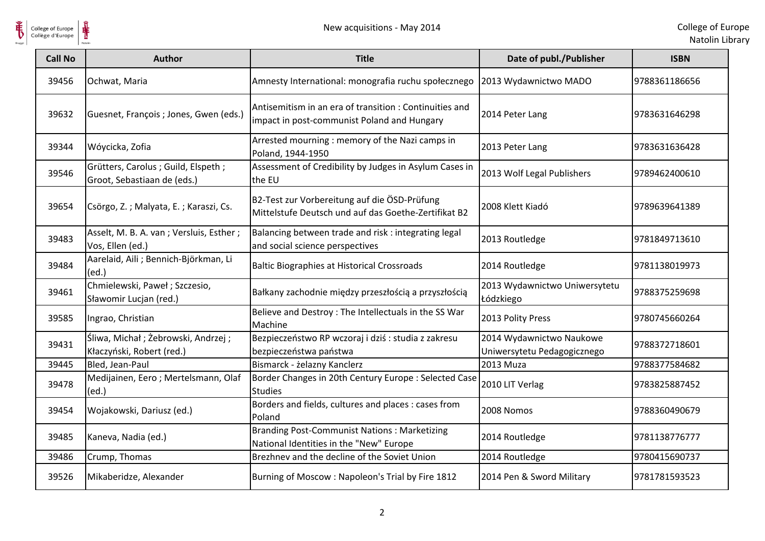

 $\frac{1}{\frac{1}{\sqrt{2}}}\sum_{\text{National}}$ 

| <b>Call No</b> | <b>Author</b>                                                     | <b>Title</b>                                                                                          | Date of publ./Publisher                                 | <b>ISBN</b>   |
|----------------|-------------------------------------------------------------------|-------------------------------------------------------------------------------------------------------|---------------------------------------------------------|---------------|
| 39456          | Ochwat, Maria                                                     | Amnesty International: monografia ruchu społecznego                                                   | 2013 Wydawnictwo MADO                                   | 9788361186656 |
| 39632          | Guesnet, François ; Jones, Gwen (eds.)                            | Antisemitism in an era of transition: Continuities and<br>impact in post-communist Poland and Hungary | 2014 Peter Lang                                         | 9783631646298 |
| 39344          | Wóycicka, Zofia                                                   | Arrested mourning : memory of the Nazi camps in<br>Poland, 1944-1950                                  | 2013 Peter Lang                                         | 9783631636428 |
| 39546          | Grütters, Carolus; Guild, Elspeth;<br>Groot, Sebastiaan de (eds.) | Assessment of Credibility by Judges in Asylum Cases in<br>the EU                                      | 2013 Wolf Legal Publishers                              | 9789462400610 |
| 39654          | Csörgo, Z.; Malyata, E.; Karaszi, Cs.                             | B2-Test zur Vorbereitung auf die ÖSD-Prüfung<br>Mittelstufe Deutsch und auf das Goethe-Zertifikat B2  | 2008 Klett Kiadó                                        | 9789639641389 |
| 39483          | Asselt, M. B. A. van ; Versluis, Esther ;<br>Vos, Ellen (ed.)     | Balancing between trade and risk : integrating legal<br>and social science perspectives               | 2013 Routledge                                          | 9781849713610 |
| 39484          | Aarelaid, Aili ; Bennich-Björkman, Li<br>(ed.)                    | <b>Baltic Biographies at Historical Crossroads</b>                                                    | 2014 Routledge                                          | 9781138019973 |
| 39461          | Chmielewski, Paweł; Szczesio,<br>Sławomir Lucjan (red.)           | Bałkany zachodnie między przeszłością a przyszłością                                                  | 2013 Wydawnictwo Uniwersytetu<br>Łódzkiego              | 9788375259698 |
| 39585          | Ingrao, Christian                                                 | Believe and Destroy: The Intellectuals in the SS War<br>Machine                                       | 2013 Polity Press                                       | 9780745660264 |
| 39431          | Śliwa, Michał; Żebrowski, Andrzej;<br>Kłaczyński, Robert (red.)   | Bezpieczeństwo RP wczoraj i dziś: studia z zakresu<br>bezpieczeństwa państwa                          | 2014 Wydawnictwo Naukowe<br>Uniwersytetu Pedagogicznego | 9788372718601 |
| 39445          | Bled, Jean-Paul                                                   | Bismarck - żelazny Kanclerz                                                                           | 2013 Muza                                               | 9788377584682 |
| 39478          | Medijainen, Eero; Mertelsmann, Olaf<br>(ed.)                      | Border Changes in 20th Century Europe : Selected Case<br><b>Studies</b>                               | 2010 LIT Verlag                                         | 9783825887452 |
| 39454          | Wojakowski, Dariusz (ed.)                                         | Borders and fields, cultures and places : cases from<br>Poland                                        | 2008 Nomos                                              | 9788360490679 |
| 39485          | Kaneva, Nadia (ed.)                                               | <b>Branding Post-Communist Nations: Marketizing</b><br>National Identities in the "New" Europe        | 2014 Routledge                                          | 9781138776777 |
| 39486          | Crump, Thomas                                                     | Brezhnev and the decline of the Soviet Union                                                          | 2014 Routledge                                          | 9780415690737 |
| 39526          | Mikaberidze, Alexander                                            | Burning of Moscow: Napoleon's Trial by Fire 1812                                                      | 2014 Pen & Sword Military                               | 9781781593523 |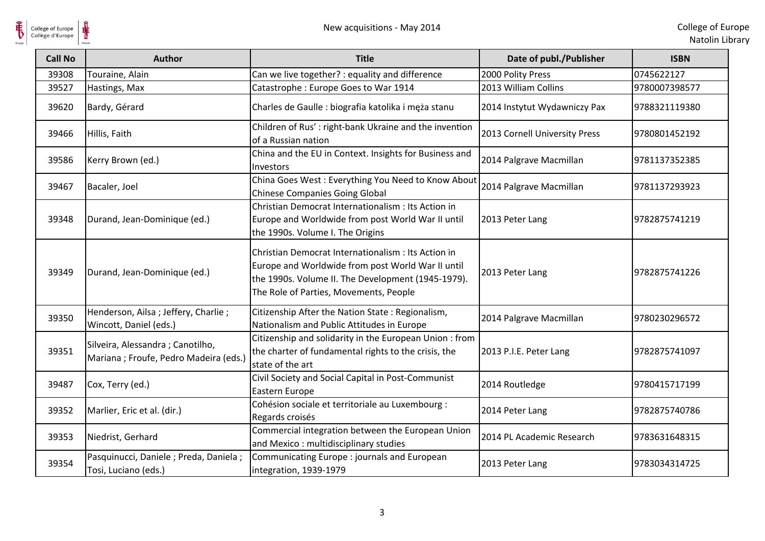| <b>Call No</b> | <b>Author</b>                                                               | <b>Title</b>                                                                                                                                                                                             | Date of publ./Publisher       | <b>ISBN</b>   |
|----------------|-----------------------------------------------------------------------------|----------------------------------------------------------------------------------------------------------------------------------------------------------------------------------------------------------|-------------------------------|---------------|
| 39308          | Touraine, Alain                                                             | Can we live together? : equality and difference                                                                                                                                                          | 2000 Polity Press             | 0745622127    |
| 39527          | Hastings, Max                                                               | Catastrophe: Europe Goes to War 1914                                                                                                                                                                     | 2013 William Collins          | 9780007398577 |
| 39620          | Bardy, Gérard                                                               | Charles de Gaulle : biografia katolika i męża stanu                                                                                                                                                      | 2014 Instytut Wydawniczy Pax  | 9788321119380 |
| 39466          | Hillis, Faith                                                               | Children of Rus': right-bank Ukraine and the invention<br>of a Russian nation                                                                                                                            | 2013 Cornell University Press | 9780801452192 |
| 39586          | Kerry Brown (ed.)                                                           | China and the EU in Context. Insights for Business and<br>Investors                                                                                                                                      | 2014 Palgrave Macmillan       | 9781137352385 |
| 39467          | Bacaler, Joel                                                               | China Goes West: Everything You Need to Know About<br><b>Chinese Companies Going Global</b>                                                                                                              | 2014 Palgrave Macmillan       | 9781137293923 |
| 39348          | Durand, Jean-Dominique (ed.)                                                | Christian Democrat Internationalism : Its Action in<br>Europe and Worldwide from post World War II until<br>the 1990s. Volume I. The Origins                                                             | 2013 Peter Lang               | 9782875741219 |
| 39349          | Durand, Jean-Dominique (ed.)                                                | Christian Democrat Internationalism : Its Action in<br>Europe and Worldwide from post World War II until<br>the 1990s. Volume II. The Development (1945-1979).<br>The Role of Parties, Movements, People | 2013 Peter Lang               | 9782875741226 |
| 39350          | Henderson, Ailsa ; Jeffery, Charlie ;<br>Wincott, Daniel (eds.)             | Citizenship After the Nation State: Regionalism,<br>Nationalism and Public Attitudes in Europe                                                                                                           | 2014 Palgrave Macmillan       | 9780230296572 |
| 39351          | Silveira, Alessandra ; Canotilho,<br>Mariana ; Froufe, Pedro Madeira (eds.) | Citizenship and solidarity in the European Union: from<br>the charter of fundamental rights to the crisis, the<br>state of the art                                                                       | 2013 P.I.E. Peter Lang        | 9782875741097 |
| 39487          | Cox, Terry (ed.)                                                            | Civil Society and Social Capital in Post-Communist<br>Eastern Europe                                                                                                                                     | 2014 Routledge                | 9780415717199 |
| 39352          | Marlier, Eric et al. (dir.)                                                 | Cohésion sociale et territoriale au Luxembourg :<br>Regards croisés                                                                                                                                      | 2014 Peter Lang               | 9782875740786 |
| 39353          | Niedrist, Gerhard                                                           | Commercial integration between the European Union<br>and Mexico: multidisciplinary studies                                                                                                               | 2014 PL Academic Research     | 9783631648315 |
| 39354          | Pasquinucci, Daniele ; Preda, Daniela ;<br>Tosi, Luciano (eds.)             | Communicating Europe: journals and European<br>integration, 1939-1979                                                                                                                                    | 2013 Peter Lang               | 9783034314725 |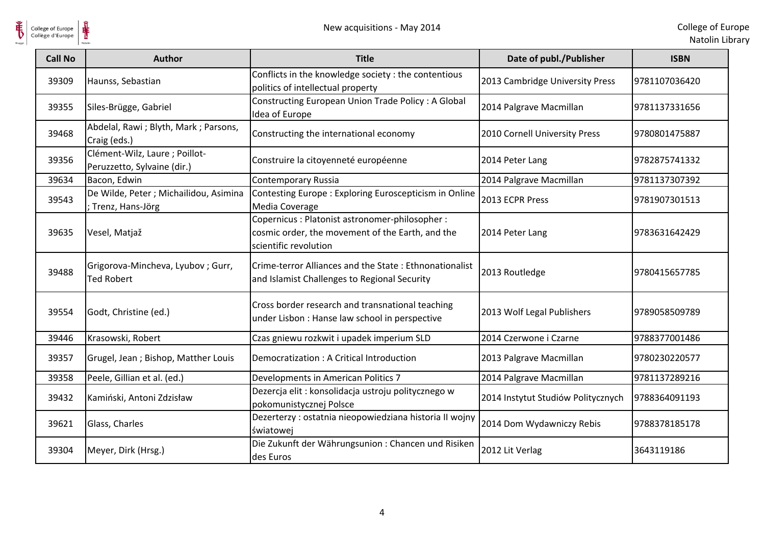

**HE** 

| <b>Call No</b> | <b>Author</b>                                                 | <b>Title</b>                                                                                                                 | Date of publ./Publisher            | <b>ISBN</b>   |
|----------------|---------------------------------------------------------------|------------------------------------------------------------------------------------------------------------------------------|------------------------------------|---------------|
| 39309          | Haunss, Sebastian                                             | Conflicts in the knowledge society : the contentious<br>politics of intellectual property                                    | 2013 Cambridge University Press    | 9781107036420 |
| 39355          | Siles-Brügge, Gabriel                                         | Constructing European Union Trade Policy: A Global<br>Idea of Europe                                                         | 2014 Palgrave Macmillan            | 9781137331656 |
| 39468          | Abdelal, Rawi; Blyth, Mark; Parsons,<br>Craig (eds.)          | Constructing the international economy                                                                                       | 2010 Cornell University Press      | 9780801475887 |
| 39356          | Clément-Wilz, Laure ; Poillot-<br>Peruzzetto, Sylvaine (dir.) | Construire la citoyenneté européenne                                                                                         | 2014 Peter Lang                    | 9782875741332 |
| 39634          | Bacon, Edwin                                                  | <b>Contemporary Russia</b>                                                                                                   | 2014 Palgrave Macmillan            | 9781137307392 |
| 39543          | De Wilde, Peter ; Michailidou, Asimina<br>Trenz, Hans-Jörg    | Contesting Europe: Exploring Euroscepticism in Online<br>Media Coverage                                                      | 2013 ECPR Press                    | 9781907301513 |
| 39635          | Vesel, Matjaž                                                 | Copernicus : Platonist astronomer-philosopher :<br>cosmic order, the movement of the Earth, and the<br>scientific revolution | 2014 Peter Lang                    | 9783631642429 |
| 39488          | Grigorova-Mincheva, Lyubov; Gurr,<br><b>Ted Robert</b>        | Crime-terror Alliances and the State: Ethnonationalist<br>and Islamist Challenges to Regional Security                       | 2013 Routledge                     | 9780415657785 |
| 39554          | Godt, Christine (ed.)                                         | Cross border research and transnational teaching<br>under Lisbon : Hanse law school in perspective                           | 2013 Wolf Legal Publishers         | 9789058509789 |
| 39446          | Krasowski, Robert                                             | Czas gniewu rozkwit i upadek imperium SLD                                                                                    | 2014 Czerwone i Czarne             | 9788377001486 |
| 39357          | Grugel, Jean; Bishop, Matther Louis                           | Democratization: A Critical Introduction                                                                                     | 2013 Palgrave Macmillan            | 9780230220577 |
| 39358          | Peele, Gillian et al. (ed.)                                   | Developments in American Politics 7                                                                                          | 2014 Palgrave Macmillan            | 9781137289216 |
| 39432          | Kamiński, Antoni Zdzisław                                     | Dezercja elit : konsolidacja ustroju politycznego w<br>pokomunistycznej Polsce                                               | 2014 Instytut Studiów Politycznych | 9788364091193 |
| 39621          | Glass, Charles                                                | Dezerterzy : ostatnia nieopowiedziana historia II wojny<br>światowej                                                         | 2014 Dom Wydawniczy Rebis          | 9788378185178 |
| 39304          | Meyer, Dirk (Hrsg.)                                           | Die Zukunft der Währungsunion: Chancen und Risiken<br>des Euros                                                              | 2012 Lit Verlag                    | 3643119186    |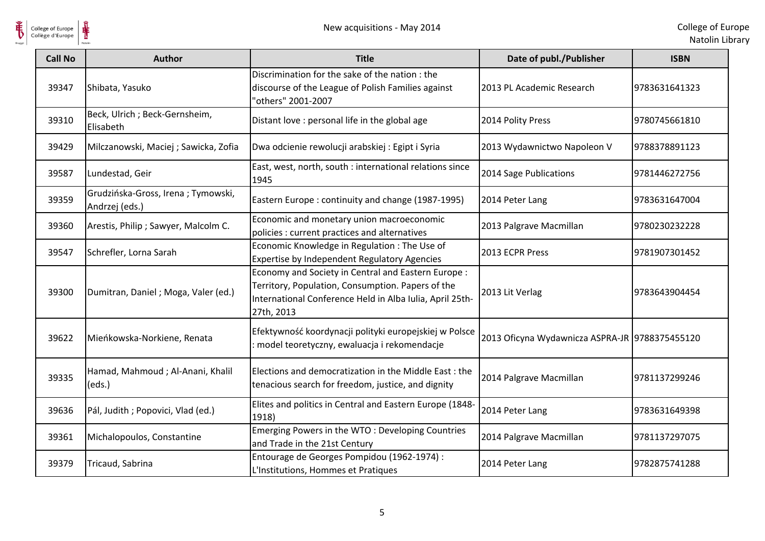

| <b>Call No</b> | <b>Author</b>                                        | <b>Title</b>                                                                                                                                                                       | Date of publ./Publisher                        | <b>ISBN</b>   |
|----------------|------------------------------------------------------|------------------------------------------------------------------------------------------------------------------------------------------------------------------------------------|------------------------------------------------|---------------|
| 39347          | Shibata, Yasuko                                      | Discrimination for the sake of the nation: the<br>discourse of the League of Polish Families against<br>"others" 2001-2007                                                         | 2013 PL Academic Research                      | 9783631641323 |
| 39310          | Beck, Ulrich ; Beck-Gernsheim,<br>Elisabeth          | Distant love : personal life in the global age                                                                                                                                     | 2014 Polity Press                              | 9780745661810 |
| 39429          | Milczanowski, Maciej; Sawicka, Zofia                 | Dwa odcienie rewolucji arabskiej: Egipt i Syria                                                                                                                                    | 2013 Wydawnictwo Napoleon V                    | 9788378891123 |
| 39587          | Lundestad, Geir                                      | East, west, north, south : international relations since<br>1945                                                                                                                   | 2014 Sage Publications                         | 9781446272756 |
| 39359          | Grudzińska-Gross, Irena; Tymowski,<br>Andrzej (eds.) | Eastern Europe: continuity and change (1987-1995)                                                                                                                                  | 2014 Peter Lang                                | 9783631647004 |
| 39360          | Arestis, Philip ; Sawyer, Malcolm C.                 | Economic and monetary union macroeconomic<br>policies : current practices and alternatives                                                                                         | 2013 Palgrave Macmillan                        | 9780230232228 |
| 39547          | Schrefler, Lorna Sarah                               | Economic Knowledge in Regulation: The Use of<br>Expertise by Independent Regulatory Agencies                                                                                       | 2013 ECPR Press                                | 9781907301452 |
| 39300          | Dumitran, Daniel ; Moga, Valer (ed.)                 | Economy and Society in Central and Eastern Europe :<br>Territory, Population, Consumption. Papers of the<br>International Conference Held in Alba Iulia, April 25th-<br>27th, 2013 | 2013 Lit Verlag                                | 9783643904454 |
| 39622          | Mieńkowska-Norkiene, Renata                          | Efektywność koordynacji polityki europejskiej w Polsce<br>model teoretyczny, ewaluacja i rekomendacje                                                                              | 2013 Oficyna Wydawnicza ASPRA-JR 9788375455120 |               |
| 39335          | Hamad, Mahmoud; Al-Anani, Khalil<br>(eds.)           | Elections and democratization in the Middle East : the<br>tenacious search for freedom, justice, and dignity                                                                       | 2014 Palgrave Macmillan                        | 9781137299246 |
| 39636          | Pál, Judith ; Popovici, Vlad (ed.)                   | Elites and politics in Central and Eastern Europe (1848-<br>1918)                                                                                                                  | 2014 Peter Lang                                | 9783631649398 |
| 39361          | Michalopoulos, Constantine                           | Emerging Powers in the WTO: Developing Countries<br>and Trade in the 21st Century                                                                                                  | 2014 Palgrave Macmillan                        | 9781137297075 |
| 39379          | Tricaud, Sabrina                                     | Entourage de Georges Pompidou (1962-1974) :<br>L'Institutions, Hommes et Pratiques                                                                                                 | 2014 Peter Lang                                | 9782875741288 |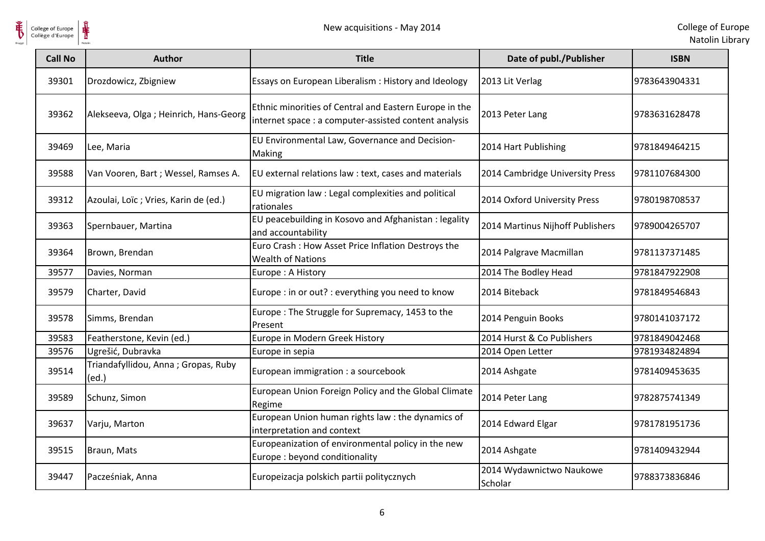

| College of Europe<br>Collège d'Europe | ⋕                                            | New acquisitions - May 2014                                                                                     |                                     | College of Eur<br>Natolin Lib |
|---------------------------------------|----------------------------------------------|-----------------------------------------------------------------------------------------------------------------|-------------------------------------|-------------------------------|
| <b>Call No</b>                        | <b>Author</b>                                | <b>Title</b>                                                                                                    | Date of publ./Publisher             | <b>ISBN</b>                   |
| 39301                                 | Drozdowicz, Zbigniew                         | Essays on European Liberalism : History and Ideology                                                            | 2013 Lit Verlag                     | 9783643904331                 |
| 39362                                 | Alekseeva, Olga ; Heinrich, Hans-Georg       | Ethnic minorities of Central and Eastern Europe in the<br>internet space : a computer-assisted content analysis | 2013 Peter Lang                     | 9783631628478                 |
| 39469                                 | Lee, Maria                                   | EU Environmental Law, Governance and Decision-<br>Making                                                        | 2014 Hart Publishing                | 9781849464215                 |
| 39588                                 | Van Vooren, Bart ; Wessel, Ramses A.         | EU external relations law : text, cases and materials                                                           | 2014 Cambridge University Press     | 9781107684300                 |
| 39312                                 | Azoulai, Loïc ; Vries, Karin de (ed.)        | EU migration law : Legal complexities and political<br>rationales                                               | 2014 Oxford University Press        | 9780198708537                 |
| 39363                                 | Spernbauer, Martina                          | EU peacebuilding in Kosovo and Afghanistan : legality<br>and accountability                                     | 2014 Martinus Nijhoff Publishers    | 9789004265707                 |
| 39364                                 | Brown, Brendan                               | Euro Crash: How Asset Price Inflation Destroys the<br><b>Wealth of Nations</b>                                  | 2014 Palgrave Macmillan             | 9781137371485                 |
| 39577                                 | Davies, Norman                               | Europe: A History                                                                                               | 2014 The Bodley Head                | 9781847922908                 |
| 39579                                 | Charter, David                               | Europe : in or out? : everything you need to know                                                               | 2014 Biteback                       | 9781849546843                 |
| 39578                                 | Simms, Brendan                               | Europe: The Struggle for Supremacy, 1453 to the<br>Present                                                      | 2014 Penguin Books                  | 9780141037172                 |
| 39583                                 | Featherstone, Kevin (ed.)                    | Europe in Modern Greek History                                                                                  | 2014 Hurst & Co Publishers          | 9781849042468                 |
| 39576                                 | Ugrešić, Dubravka                            | Europe in sepia                                                                                                 | 2014 Open Letter                    | 9781934824894                 |
| 39514                                 | Triandafyllidou, Anna; Gropas, Ruby<br>(ed.) | European immigration : a sourcebook                                                                             | 2014 Ashgate                        | 9781409453635                 |
| 39589                                 | Schunz, Simon                                | European Union Foreign Policy and the Global Climate<br>Regime                                                  | 2014 Peter Lang                     | 9782875741349                 |
| 39637                                 | Varju, Marton                                | European Union human rights law : the dynamics of<br>interpretation and context                                 | 2014 Edward Elgar                   | 9781781951736                 |
| 39515                                 | Braun, Mats                                  | Europeanization of environmental policy in the new<br>Europe: beyond conditionality                             | 2014 Ashgate                        | 9781409432944                 |
| 39447                                 | Pacześniak, Anna                             | Europeizacja polskich partii politycznych                                                                       | 2014 Wydawnictwo Naukowe<br>Scholar | 9788373836846                 |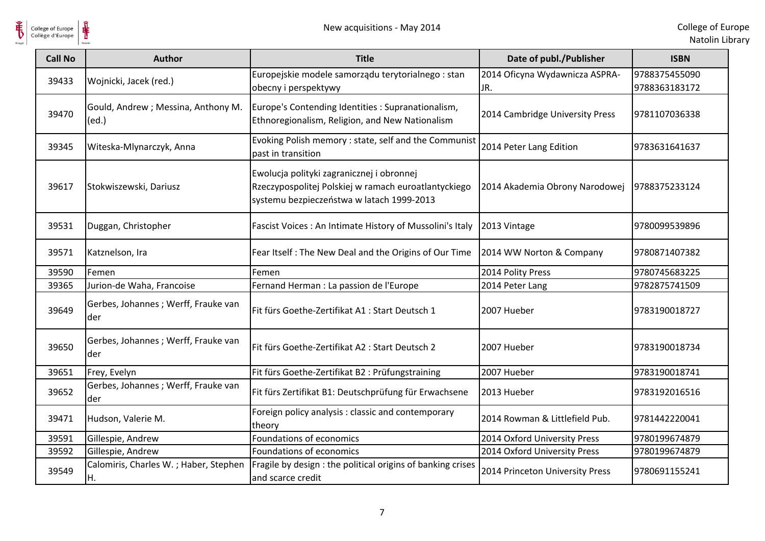

| College of Europe<br>Collège d'Europe | New acquisitions - May 2014                  |                                                                                                                                                |                                       | College of Eur<br>Natolin Lib  |
|---------------------------------------|----------------------------------------------|------------------------------------------------------------------------------------------------------------------------------------------------|---------------------------------------|--------------------------------|
| <b>Call No</b>                        | <b>Author</b>                                | <b>Title</b>                                                                                                                                   | Date of publ./Publisher               | <b>ISBN</b>                    |
| 39433                                 | Wojnicki, Jacek (red.)                       | Europejskie modele samorządu terytorialnego : stan<br>obecny i perspektywy                                                                     | 2014 Oficyna Wydawnicza ASPRA-<br>JR. | 9788375455090<br>9788363183172 |
| 39470                                 | Gould, Andrew ; Messina, Anthony M.<br>(ed.) | Europe's Contending Identities : Supranationalism,<br>Ethnoregionalism, Religion, and New Nationalism                                          | 2014 Cambridge University Press       | 9781107036338                  |
| 39345                                 | Witeska-Mlynarczyk, Anna                     | Evoking Polish memory : state, self and the Communist<br>past in transition                                                                    | 2014 Peter Lang Edition               | 9783631641637                  |
| 39617                                 | Stokwiszewski, Dariusz                       | Ewolucja polityki zagranicznej i obronnej<br>Rzeczypospolitej Polskiej w ramach euroatlantyckiego<br>systemu bezpieczeństwa w latach 1999-2013 | 2014 Akademia Obrony Narodowej        | 9788375233124                  |
| 39531                                 | Duggan, Christopher                          | Fascist Voices : An Intimate History of Mussolini's Italy                                                                                      | 2013 Vintage                          | 9780099539896                  |
| 39571                                 | Katznelson, Ira                              | Fear Itself : The New Deal and the Origins of Our Time                                                                                         | 2014 WW Norton & Company              | 9780871407382                  |
| 39590                                 | Femen                                        | Femen                                                                                                                                          | 2014 Polity Press                     | 9780745683225                  |
| 39365                                 | Jurion-de Waha, Francoise                    | Fernand Herman : La passion de l'Europe                                                                                                        | 2014 Peter Lang                       | 9782875741509                  |
| 39649                                 | Gerbes, Johannes ; Werff, Frauke van<br>der  | Fit fürs Goethe-Zertifikat A1 : Start Deutsch 1                                                                                                | 2007 Hueber                           | 9783190018727                  |
| 39650                                 | Gerbes, Johannes ; Werff, Frauke van<br>der  | Fit fürs Goethe-Zertifikat A2 : Start Deutsch 2                                                                                                | 2007 Hueber                           | 9783190018734                  |
| 39651                                 | Frey, Evelyn                                 | Fit fürs Goethe-Zertifikat B2 : Prüfungstraining                                                                                               | 2007 Hueber                           | 9783190018741                  |
| 39652                                 | Gerbes, Johannes ; Werff, Frauke van<br>der  | Fit fürs Zertifikat B1: Deutschprüfung für Erwachsene                                                                                          | 2013 Hueber                           | 9783192016516                  |
| 39471                                 | Hudson, Valerie M.                           | Foreign policy analysis: classic and contemporary<br>theory                                                                                    | 2014 Rowman & Littlefield Pub.        | 9781442220041                  |
| 39591                                 | Gillespie, Andrew                            | Foundations of economics                                                                                                                       | 2014 Oxford University Press          | 9780199674879                  |
| 39592                                 | Gillespie, Andrew                            | Foundations of economics                                                                                                                       | 2014 Oxford University Press          | 9780199674879                  |
| 39549                                 | Calomiris, Charles W.; Haber, Stephen<br>H.  | Fragile by design : the political origins of banking crises<br>and scarce credit                                                               | 2014 Princeton University Press       | 9780691155241                  |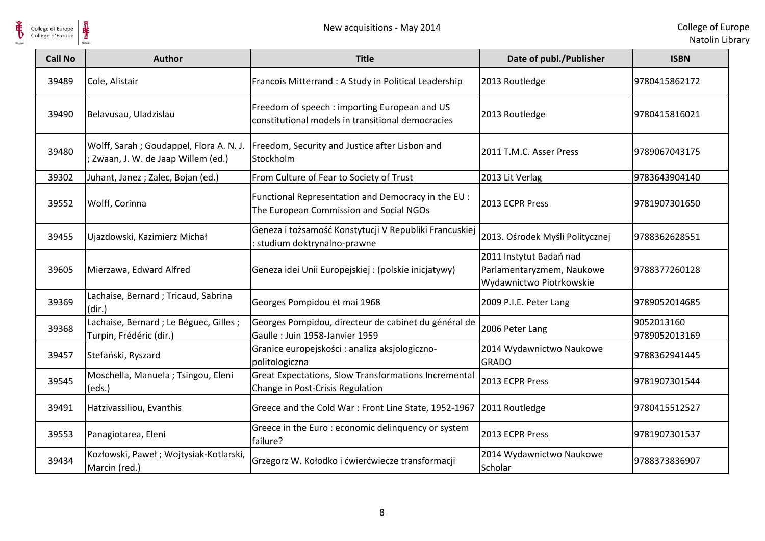

| <b>Call No</b> | <b>Author</b>                                                                   | <b>Title</b>                                                                                       | Date of publ./Publisher                                                          | <b>ISBN</b>                 |
|----------------|---------------------------------------------------------------------------------|----------------------------------------------------------------------------------------------------|----------------------------------------------------------------------------------|-----------------------------|
| 39489          | Cole, Alistair                                                                  | Francois Mitterrand : A Study in Political Leadership                                              | 2013 Routledge                                                                   | 9780415862172               |
| 39490          | Belavusau, Uladzislau                                                           | Freedom of speech : importing European and US<br>constitutional models in transitional democracies | 2013 Routledge                                                                   | 9780415816021               |
| 39480          | Wolff, Sarah ; Goudappel, Flora A. N. J.<br>; Zwaan, J. W. de Jaap Willem (ed.) | Freedom, Security and Justice after Lisbon and<br>Stockholm                                        | 2011 T.M.C. Asser Press                                                          | 9789067043175               |
| 39302          | Juhant, Janez; Zalec, Bojan (ed.)                                               | From Culture of Fear to Society of Trust                                                           | 2013 Lit Verlag                                                                  | 9783643904140               |
| 39552          | Wolff, Corinna                                                                  | Functional Representation and Democracy in the EU :<br>The European Commission and Social NGOs     | 2013 ECPR Press                                                                  | 9781907301650               |
| 39455          | Ujazdowski, Kazimierz Michał                                                    | Geneza i tożsamość Konstytucji V Republiki Francuskiej<br>: studium doktrynalno-prawne             | 2013. Ośrodek Myśli Politycznej                                                  | 9788362628551               |
| 39605          | Mierzawa, Edward Alfred                                                         | Geneza idei Unii Europejskiej : (polskie inicjatywy)                                               | 2011 Instytut Badań nad<br>Parlamentaryzmem, Naukowe<br>Wydawnictwo Piotrkowskie | 9788377260128               |
| 39369          | Lachaise, Bernard; Tricaud, Sabrina<br>(dir.)                                   | Georges Pompidou et mai 1968                                                                       | 2009 P.I.E. Peter Lang                                                           | 9789052014685               |
| 39368          | Lachaise, Bernard ; Le Béguec, Gilles ;<br>Turpin, Frédéric (dir.)              | Georges Pompidou, directeur de cabinet du général de<br>Gaulle: Juin 1958-Janvier 1959             | 2006 Peter Lang                                                                  | 9052013160<br>9789052013169 |
| 39457          | Stefański, Ryszard                                                              | Granice europejskości : analiza aksjologiczno-<br>politologiczna                                   | 2014 Wydawnictwo Naukowe<br><b>GRADO</b>                                         | 9788362941445               |
| 39545          | Moschella, Manuela; Tsingou, Eleni<br>(eds.)                                    | <b>Great Expectations, Slow Transformations Incremental</b><br>Change in Post-Crisis Regulation    | 2013 ECPR Press                                                                  | 9781907301544               |
| 39491          | Hatzivassiliou, Evanthis                                                        | Greece and the Cold War: Front Line State, 1952-1967                                               | 2011 Routledge                                                                   | 9780415512527               |
| 39553          | Panagiotarea, Eleni                                                             | Greece in the Euro : economic delinquency or system<br>failure?                                    | 2013 ECPR Press                                                                  | 9781907301537               |
| 39434          | Kozłowski, Paweł; Wojtysiak-Kotlarski,<br>Marcin (red.)                         | Grzegorz W. Kołodko i ćwierćwiecze transformacji                                                   | 2014 Wydawnictwo Naukowe<br>Scholar                                              | 9788373836907               |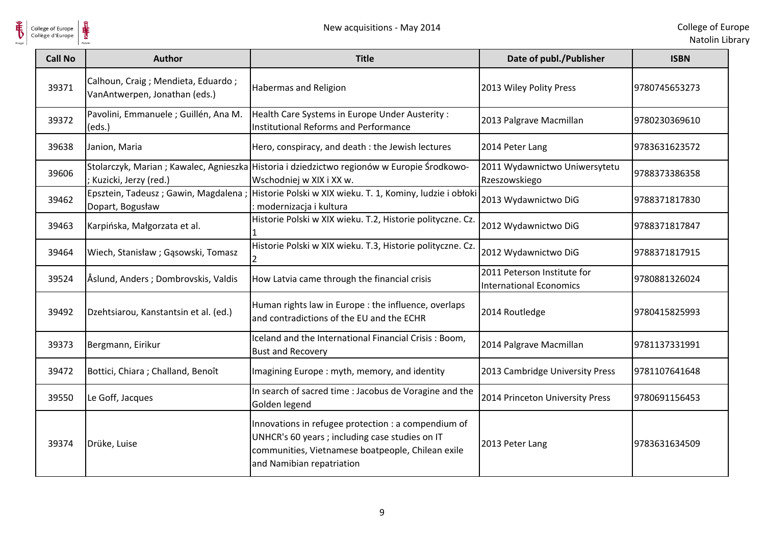

| College of Europe<br>Collège d'Europe | New acquisitions - May 2014                                           |                                                                                                                                                                                          |                                                               | College of Eur<br>Natolin Lib |
|---------------------------------------|-----------------------------------------------------------------------|------------------------------------------------------------------------------------------------------------------------------------------------------------------------------------------|---------------------------------------------------------------|-------------------------------|
| <b>Call No</b>                        | <b>Author</b>                                                         | <b>Title</b>                                                                                                                                                                             | Date of publ./Publisher                                       | <b>ISBN</b>                   |
| 39371                                 | Calhoun, Craig ; Mendieta, Eduardo ;<br>VanAntwerpen, Jonathan (eds.) | Habermas and Religion                                                                                                                                                                    | 2013 Wiley Polity Press                                       | 9780745653273                 |
| 39372                                 | Pavolini, Emmanuele ; Guillén, Ana M.<br>(eds.)                       | Health Care Systems in Europe Under Austerity :<br>Institutional Reforms and Performance                                                                                                 | 2013 Palgrave Macmillan                                       | 9780230369610                 |
| 39638                                 | Janion, Maria                                                         | Hero, conspiracy, and death : the Jewish lectures                                                                                                                                        | 2014 Peter Lang                                               | 9783631623572                 |
| 39606                                 | ; Kuzicki, Jerzy (red.)                                               | Stolarczyk, Marian ; Kawalec, Agnieszka Historia i dziedzictwo regionów w Europie Środkowo-<br>Wschodniej w XIX i XX w.                                                                  | 2011 Wydawnictwo Uniwersytetu<br>Rzeszowskiego                | 9788373386358                 |
| 39462                                 | Epsztein, Tadeusz; Gawin, Magdalena;<br>Dopart, Bogusław              | Historie Polski w XIX wieku. T. 1, Kominy, ludzie i obłoki<br>: modernizacja i kultura                                                                                                   | 2013 Wydawnictwo DiG                                          | 9788371817830                 |
| 39463                                 | Karpińska, Małgorzata et al.                                          | Historie Polski w XIX wieku. T.2, Historie polityczne. Cz.                                                                                                                               | 2012 Wydawnictwo DiG                                          | 9788371817847                 |
| 39464                                 | Wiech, Stanisław; Gąsowski, Tomasz                                    | Historie Polski w XIX wieku. T.3, Historie polityczne. Cz.                                                                                                                               | 2012 Wydawnictwo DiG                                          | 9788371817915                 |
| 39524                                 | Åslund, Anders; Dombrovskis, Valdis                                   | How Latvia came through the financial crisis                                                                                                                                             | 2011 Peterson Institute for<br><b>International Economics</b> | 9780881326024                 |
| 39492                                 | Dzehtsiarou, Kanstantsin et al. (ed.)                                 | Human rights law in Europe : the influence, overlaps<br>and contradictions of the EU and the ECHR                                                                                        | 2014 Routledge                                                | 9780415825993                 |
| 39373                                 | Bergmann, Eirikur                                                     | Iceland and the International Financial Crisis: Boom,<br><b>Bust and Recovery</b>                                                                                                        | 2014 Palgrave Macmillan                                       | 9781137331991                 |
| 39472                                 | Bottici, Chiara; Challand, Benoît                                     | Imagining Europe: myth, memory, and identity                                                                                                                                             | 2013 Cambridge University Press                               | 9781107641648                 |
| 39550                                 | Le Goff, Jacques                                                      | In search of sacred time : Jacobus de Voragine and the<br>Golden legend                                                                                                                  | 2014 Princeton University Press                               | 9780691156453                 |
| 39374                                 | Drüke, Luise                                                          | Innovations in refugee protection : a compendium of<br>UNHCR's 60 years ; including case studies on IT<br>communities, Vietnamese boatpeople, Chilean exile<br>and Namibian repatriation | 2013 Peter Lang                                               | 9783631634509                 |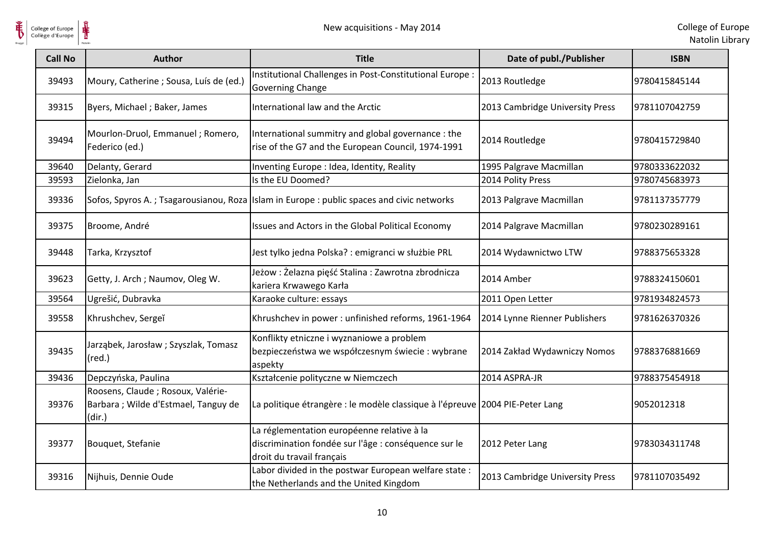

| <b>Call No</b> | <b>Author</b>                                                                       | <b>Title</b>                                                                                                                    | Date of publ./Publisher         | <b>ISBN</b>   |
|----------------|-------------------------------------------------------------------------------------|---------------------------------------------------------------------------------------------------------------------------------|---------------------------------|---------------|
| 39493          | Moury, Catherine ; Sousa, Luís de (ed.)                                             | Institutional Challenges in Post-Constitutional Europe :<br>Governing Change                                                    | 2013 Routledge                  | 9780415845144 |
| 39315          | Byers, Michael; Baker, James                                                        | International law and the Arctic                                                                                                | 2013 Cambridge University Press | 9781107042759 |
| 39494          | Mourlon-Druol, Emmanuel ; Romero,<br>Federico (ed.)                                 | International summitry and global governance : the<br>rise of the G7 and the European Council, 1974-1991                        | 2014 Routledge                  | 9780415729840 |
| 39640          | Delanty, Gerard                                                                     | Inventing Europe : Idea, Identity, Reality                                                                                      | 1995 Palgrave Macmillan         | 9780333622032 |
| 39593          | Zielonka, Jan                                                                       | Is the EU Doomed?                                                                                                               | 2014 Polity Press               | 9780745683973 |
| 39336          |                                                                                     | Sofos, Spyros A.; Tsagarousianou, Roza   Islam in Europe : public spaces and civic networks                                     | 2013 Palgrave Macmillan         | 9781137357779 |
| 39375          | Broome, André                                                                       | Issues and Actors in the Global Political Economy                                                                               | 2014 Palgrave Macmillan         | 9780230289161 |
| 39448          | Tarka, Krzysztof                                                                    | Jest tylko jedna Polska? : emigranci w służbie PRL                                                                              | 2014 Wydawnictwo LTW            | 9788375653328 |
| 39623          | Getty, J. Arch; Naumov, Oleg W.                                                     | Jeżow : Żelazna pięść Stalina : Zawrotna zbrodnicza<br>kariera Krwawego Karła                                                   | 2014 Amber                      | 9788324150601 |
| 39564          | Ugrešić, Dubravka                                                                   | Karaoke culture: essays                                                                                                         | 2011 Open Letter                | 9781934824573 |
| 39558          | Khrushchev, Sergeĭ                                                                  | Khrushchev in power: unfinished reforms, 1961-1964                                                                              | 2014 Lynne Rienner Publishers   | 9781626370326 |
| 39435          | Jarząbek, Jarosław; Szyszlak, Tomasz<br>$(\text{red.})$                             | Konflikty etniczne i wyznaniowe a problem<br>bezpieczeństwa we współczesnym świecie: wybrane<br>aspekty                         | 2014 Zakład Wydawniczy Nomos    | 9788376881669 |
| 39436          | Depczyńska, Paulina                                                                 | Kształcenie polityczne w Niemczech                                                                                              | 2014 ASPRA-JR                   | 9788375454918 |
| 39376          | Roosens, Claude ; Rosoux, Valérie-<br>Barbara; Wilde d'Estmael, Tanguy de<br>(dir.) | La politique étrangère : le modèle classique à l'épreuve 2004 PIE-Peter Lang                                                    |                                 | 9052012318    |
| 39377          | Bouquet, Stefanie                                                                   | La réglementation européenne relative à la<br>discrimination fondée sur l'âge : conséquence sur le<br>droit du travail français | 2012 Peter Lang                 | 9783034311748 |
| 39316          | Nijhuis, Dennie Oude                                                                | Labor divided in the postwar European welfare state :<br>the Netherlands and the United Kingdom                                 | 2013 Cambridge University Press | 9781107035492 |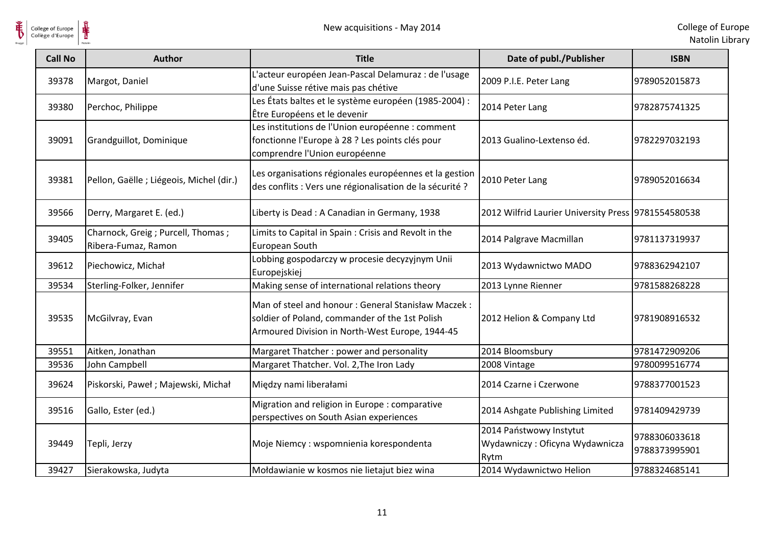

| <b>Call No</b> | Author                                                     | <b>Title</b>                                                                                                                                            | Date of publ./Publisher                                           | <b>ISBN</b>                    |
|----------------|------------------------------------------------------------|---------------------------------------------------------------------------------------------------------------------------------------------------------|-------------------------------------------------------------------|--------------------------------|
| 39378          | Margot, Daniel                                             | L'acteur européen Jean-Pascal Delamuraz : de l'usage<br>d'une Suisse rétive mais pas chétive                                                            | 2009 P.I.E. Peter Lang                                            | 9789052015873                  |
| 39380          | Perchoc, Philippe                                          | Les États baltes et le système européen (1985-2004) :<br>Être Européens et le devenir                                                                   | 2014 Peter Lang                                                   | 9782875741325                  |
| 39091          | Grandguillot, Dominique                                    | Les institutions de l'Union européenne : comment<br>fonctionne l'Europe à 28 ? Les points clés pour<br>comprendre l'Union européenne                    | 2013 Gualino-Lextenso éd.                                         | 9782297032193                  |
| 39381          | Pellon, Gaëlle ; Liégeois, Michel (dir.)                   | Les organisations régionales européennes et la gestion<br>des conflits : Vers une régionalisation de la sécurité ?                                      | 2010 Peter Lang                                                   | 9789052016634                  |
| 39566          | Derry, Margaret E. (ed.)                                   | Liberty is Dead: A Canadian in Germany, 1938                                                                                                            | 2012 Wilfrid Laurier University Press 9781554580538               |                                |
| 39405          | Charnock, Greig ; Purcell, Thomas ;<br>Ribera-Fumaz, Ramon | Limits to Capital in Spain: Crisis and Revolt in the<br>European South                                                                                  | 2014 Palgrave Macmillan                                           | 9781137319937                  |
| 39612          | Piechowicz, Michał                                         | Lobbing gospodarczy w procesie decyzyjnym Unii<br>Europejskiej                                                                                          | 2013 Wydawnictwo MADO                                             | 9788362942107                  |
| 39534          | Sterling-Folker, Jennifer                                  | Making sense of international relations theory                                                                                                          | 2013 Lynne Rienner                                                | 9781588268228                  |
| 39535          | McGilvray, Evan                                            | Man of steel and honour: General Stanisław Maczek:<br>soldier of Poland, commander of the 1st Polish<br>Armoured Division in North-West Europe, 1944-45 | 2012 Helion & Company Ltd                                         | 9781908916532                  |
| 39551          | Aitken, Jonathan                                           | Margaret Thatcher: power and personality                                                                                                                | 2014 Bloomsbury                                                   | 9781472909206                  |
| 39536          | John Campbell                                              | Margaret Thatcher. Vol. 2, The Iron Lady                                                                                                                | 2008 Vintage                                                      | 9780099516774                  |
| 39624          | Piskorski, Paweł; Majewski, Michał                         | Między nami liberałami                                                                                                                                  | 2014 Czarne i Czerwone                                            | 9788377001523                  |
| 39516          | Gallo, Ester (ed.)                                         | Migration and religion in Europe: comparative<br>perspectives on South Asian experiences                                                                | 2014 Ashgate Publishing Limited                                   | 9781409429739                  |
| 39449          | Tepli, Jerzy                                               | Moje Niemcy: wspomnienia korespondenta                                                                                                                  | 2014 Państwowy Instytut<br>Wydawniczy: Oficyna Wydawnicza<br>Rytm | 9788306033618<br>9788373995901 |
| 39427          | Sierakowska, Judyta                                        | Mołdawianie w kosmos nie lietajut biez wina                                                                                                             | 2014 Wydawnictwo Helion                                           | 9788324685141                  |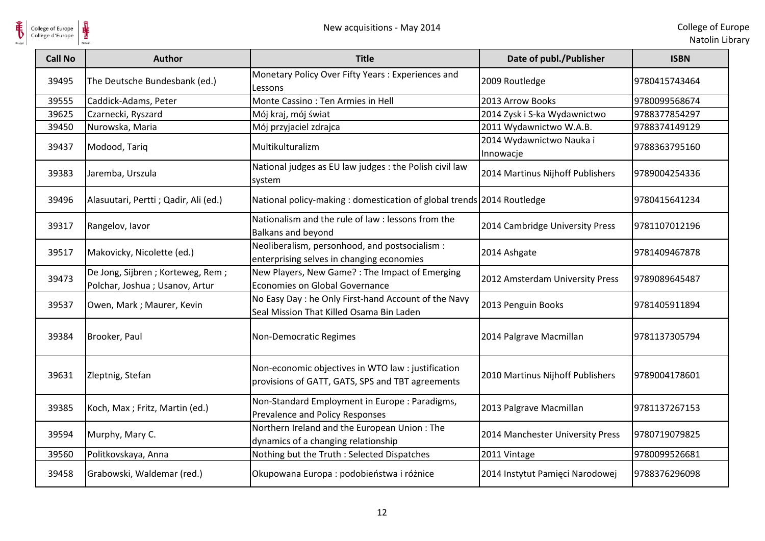

| <b>Call No</b> | Author                                                                | <b>Title</b>                                                                                           | Date of publ./Publisher               | <b>ISBN</b>   |
|----------------|-----------------------------------------------------------------------|--------------------------------------------------------------------------------------------------------|---------------------------------------|---------------|
| 39495          | The Deutsche Bundesbank (ed.)                                         | Monetary Policy Over Fifty Years: Experiences and<br>Lessons                                           | 2009 Routledge                        | 9780415743464 |
| 39555          | Caddick-Adams, Peter                                                  | Monte Cassino: Ten Armies in Hell                                                                      | 2013 Arrow Books                      | 9780099568674 |
| 39625          | Czarnecki, Ryszard                                                    | Mój kraj, mój świat                                                                                    | 2014 Zysk i S-ka Wydawnictwo          | 9788377854297 |
| 39450          | Nurowska, Maria                                                       | Mój przyjaciel zdrajca                                                                                 | 2011 Wydawnictwo W.A.B.               | 9788374149129 |
| 39437          | Modood, Tariq                                                         | Multikulturalizm                                                                                       | 2014 Wydawnictwo Nauka i<br>Innowacje | 9788363795160 |
| 39383          | Jaremba, Urszula                                                      | National judges as EU law judges : the Polish civil law<br>system                                      | 2014 Martinus Nijhoff Publishers      | 9789004254336 |
| 39496          | Alasuutari, Pertti ; Qadir, Ali (ed.)                                 | National policy-making: domestication of global trends 2014 Routledge                                  |                                       | 9780415641234 |
| 39317          | Rangelov, lavor                                                       | Nationalism and the rule of law : lessons from the<br>Balkans and beyond                               | 2014 Cambridge University Press       | 9781107012196 |
| 39517          | Makovicky, Nicolette (ed.)                                            | Neoliberalism, personhood, and postsocialism :<br>enterprising selves in changing economies            | 2014 Ashgate                          | 9781409467878 |
| 39473          | De Jong, Sijbren ; Korteweg, Rem ;<br>Polchar, Joshua ; Usanov, Artur | New Players, New Game? : The Impact of Emerging<br>Economies on Global Governance                      | 2012 Amsterdam University Press       | 9789089645487 |
| 39537          | Owen, Mark ; Maurer, Kevin                                            | No Easy Day : he Only First-hand Account of the Navy<br>Seal Mission That Killed Osama Bin Laden       | 2013 Penguin Books                    | 9781405911894 |
| 39384          | Brooker, Paul                                                         | Non-Democratic Regimes                                                                                 | 2014 Palgrave Macmillan               | 9781137305794 |
| 39631          | Zleptnig, Stefan                                                      | Non-economic objectives in WTO law : justification<br>provisions of GATT, GATS, SPS and TBT agreements | 2010 Martinus Nijhoff Publishers      | 9789004178601 |
| 39385          | Koch, Max ; Fritz, Martin (ed.)                                       | Non-Standard Employment in Europe : Paradigms,<br>Prevalence and Policy Responses                      | 2013 Palgrave Macmillan               | 9781137267153 |
| 39594          | Murphy, Mary C.                                                       | Northern Ireland and the European Union: The<br>dynamics of a changing relationship                    | 2014 Manchester University Press      | 9780719079825 |
| 39560          | Politkovskaya, Anna                                                   | Nothing but the Truth : Selected Dispatches                                                            | 2011 Vintage                          | 9780099526681 |
| 39458          | Grabowski, Waldemar (red.)                                            | Okupowana Europa : podobieństwa i różnice                                                              | 2014 Instytut Pamięci Narodowej       | 9788376296098 |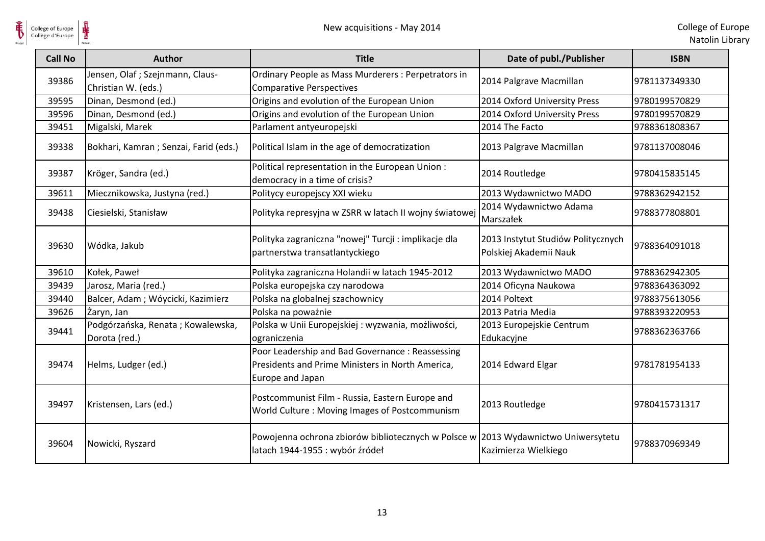

| College of Europe<br>Collège d'Europe |                                                        | New acquisitions - May 2014                                                                                             |                                                              | College of Eur<br>Natolin Lib |
|---------------------------------------|--------------------------------------------------------|-------------------------------------------------------------------------------------------------------------------------|--------------------------------------------------------------|-------------------------------|
| <b>Call No</b>                        | <b>Author</b>                                          | <b>Title</b>                                                                                                            | Date of publ./Publisher                                      | <b>ISBN</b>                   |
| 39386                                 | Jensen, Olaf; Szejnmann, Claus-<br>Christian W. (eds.) | Ordinary People as Mass Murderers : Perpetrators in<br><b>Comparative Perspectives</b>                                  | 2014 Palgrave Macmillan                                      | 9781137349330                 |
| 39595                                 | Dinan, Desmond (ed.)                                   | Origins and evolution of the European Union                                                                             | 2014 Oxford University Press                                 | 9780199570829                 |
| 39596                                 | Dinan, Desmond (ed.)                                   | Origins and evolution of the European Union                                                                             | 2014 Oxford University Press                                 | 9780199570829                 |
| 39451                                 | Migalski, Marek                                        | Parlament antyeuropejski                                                                                                | 2014 The Facto                                               | 9788361808367                 |
| 39338                                 | Bokhari, Kamran ; Senzai, Farid (eds.)                 | Political Islam in the age of democratization                                                                           | 2013 Palgrave Macmillan                                      | 9781137008046                 |
| 39387                                 | Kröger, Sandra (ed.)                                   | Political representation in the European Union:<br>democracy in a time of crisis?                                       | 2014 Routledge                                               | 9780415835145                 |
| 39611                                 | Miecznikowska, Justyna (red.)                          | Politycy europejscy XXI wieku                                                                                           | 2013 Wydawnictwo MADO                                        | 9788362942152                 |
| 39438                                 | Ciesielski, Stanisław                                  | Polityka represyjna w ZSRR w latach II wojny światowej                                                                  | 2014 Wydawnictwo Adama<br>Marszałek                          | 9788377808801                 |
| 39630                                 | Wódka, Jakub                                           | Polityka zagraniczna "nowej" Turcji : implikacje dla<br>partnerstwa transatlantyckiego                                  | 2013 Instytut Studiów Politycznych<br>Polskiej Akademii Nauk | 9788364091018                 |
| 39610                                 | Kołek, Paweł                                           | Polityka zagraniczna Holandii w latach 1945-2012                                                                        | 2013 Wydawnictwo MADO                                        | 9788362942305                 |
| 39439                                 | Jarosz, Maria (red.)                                   | Polska europejska czy narodowa                                                                                          | 2014 Oficyna Naukowa                                         | 9788364363092                 |
| 39440                                 | Balcer, Adam ; Wóycicki, Kazimierz                     | Polska na globalnej szachownicy                                                                                         | 2014 Poltext                                                 | 9788375613056                 |
| 39626                                 | Żaryn, Jan                                             | Polska na poważnie                                                                                                      | 2013 Patria Media                                            | 9788393220953                 |
| 39441                                 | Podgórzańska, Renata; Kowalewska,<br>Dorota (red.)     | Polska w Unii Europejskiej : wyzwania, możliwości,<br>ograniczenia                                                      | 2013 Europejskie Centrum<br>Edukacyjne                       | 9788362363766                 |
| 39474                                 | Helms, Ludger (ed.)                                    | Poor Leadership and Bad Governance: Reassessing<br>Presidents and Prime Ministers in North America,<br>Europe and Japan | 2014 Edward Elgar                                            | 9781781954133                 |
| 39497                                 | Kristensen, Lars (ed.)                                 | Postcommunist Film - Russia, Eastern Europe and<br>World Culture: Moving Images of Postcommunism                        | 2013 Routledge                                               | 9780415731317                 |
| 39604                                 | Nowicki, Ryszard                                       | Powojenna ochrona zbiorów bibliotecznych w Polsce w 2013 Wydawnictwo Uniwersytetu<br>latach 1944-1955 : wybór źródeł    | Kazimierza Wielkiego                                         | 9788370969349                 |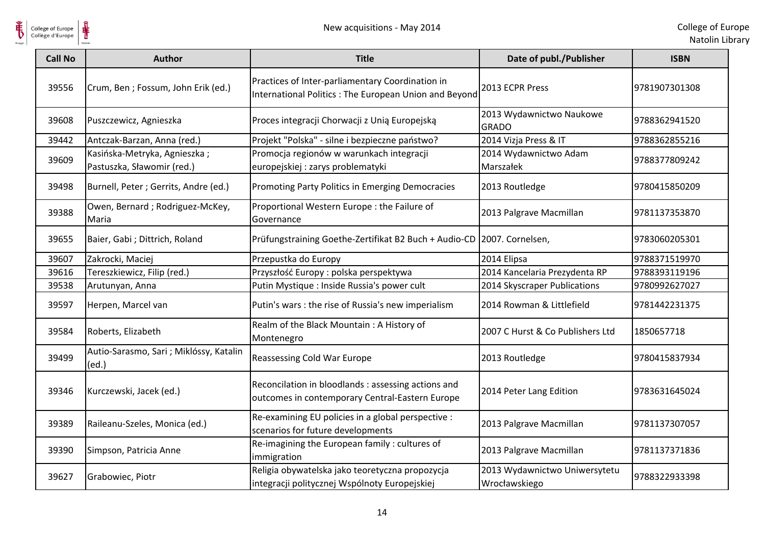

| <b>Call No</b> | <b>Author</b>                                              | <b>Title</b>                                                                                              | Date of publ./Publisher                        | <b>ISBN</b>   |
|----------------|------------------------------------------------------------|-----------------------------------------------------------------------------------------------------------|------------------------------------------------|---------------|
| 39556          | Crum, Ben ; Fossum, John Erik (ed.)                        | Practices of Inter-parliamentary Coordination in<br>International Politics: The European Union and Beyond | 2013 ECPR Press                                | 9781907301308 |
| 39608          | Puszczewicz, Agnieszka                                     | Proces integracji Chorwacji z Unią Europejską                                                             | 2013 Wydawnictwo Naukowe<br><b>GRADO</b>       | 9788362941520 |
| 39442          | Antczak-Barzan, Anna (red.)                                | Projekt "Polska" - silne i bezpieczne państwo?                                                            | 2014 Vizja Press & IT                          | 9788362855216 |
| 39609          | Kasińska-Metryka, Agnieszka;<br>Pastuszka, Sławomir (red.) | Promocja regionów w warunkach integracji<br>europejskiej : zarys problematyki                             | 2014 Wydawnictwo Adam<br>Marszałek             | 9788377809242 |
| 39498          | Burnell, Peter ; Gerrits, Andre (ed.)                      | Promoting Party Politics in Emerging Democracies                                                          | 2013 Routledge                                 | 9780415850209 |
| 39388          | Owen, Bernard; Rodriguez-McKey,<br>Maria                   | Proportional Western Europe : the Failure of<br>Governance                                                | 2013 Palgrave Macmillan                        | 9781137353870 |
| 39655          | Baier, Gabi ; Dittrich, Roland                             | Prüfungstraining Goethe-Zertifikat B2 Buch + Audio-CD 2007. Cornelsen,                                    |                                                | 9783060205301 |
| 39607          | Zakrocki, Maciej                                           | Przepustka do Europy                                                                                      | 2014 Elipsa                                    | 9788371519970 |
| 39616          | Tereszkiewicz, Filip (red.)                                | Przyszłość Europy: polska perspektywa                                                                     | 2014 Kancelaria Prezydenta RP                  | 9788393119196 |
| 39538          | Arutunyan, Anna                                            | Putin Mystique : Inside Russia's power cult                                                               | 2014 Skyscraper Publications                   | 9780992627027 |
| 39597          | Herpen, Marcel van                                         | Putin's wars : the rise of Russia's new imperialism                                                       | 2014 Rowman & Littlefield                      | 9781442231375 |
| 39584          | Roberts, Elizabeth                                         | Realm of the Black Mountain: A History of<br>Montenegro                                                   | 2007 C Hurst & Co Publishers Ltd               | 1850657718    |
| 39499          | Autio-Sarasmo, Sari ; Miklóssy, Katalin<br>(ed.)           | <b>Reassessing Cold War Europe</b>                                                                        | 2013 Routledge                                 | 9780415837934 |
| 39346          | Kurczewski, Jacek (ed.)                                    | Reconcilation in bloodlands : assessing actions and<br>outcomes in contemporary Central-Eastern Europe    | 2014 Peter Lang Edition                        | 9783631645024 |
| 39389          | Raileanu-Szeles, Monica (ed.)                              | Re-examining EU policies in a global perspective :<br>scenarios for future developments                   | 2013 Palgrave Macmillan                        | 9781137307057 |
| 39390          | Simpson, Patricia Anne                                     | Re-imagining the European family: cultures of<br>immigration                                              | 2013 Palgrave Macmillan                        | 9781137371836 |
| 39627          | Grabowiec, Piotr                                           | Religia obywatelska jako teoretyczna propozycja<br>integracji politycznej Wspólnoty Europejskiej          | 2013 Wydawnictwo Uniwersytetu<br>Wrocławskiego | 9788322933398 |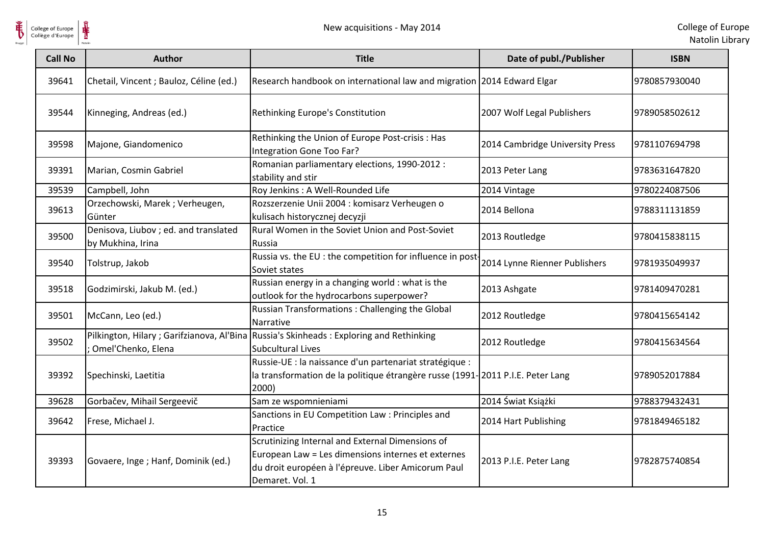



| <b>Call No</b> | <b>Author</b>                                             | <b>Title</b>                                                                                                                                                                    | Date of publ./Publisher         | <b>ISBN</b>   |
|----------------|-----------------------------------------------------------|---------------------------------------------------------------------------------------------------------------------------------------------------------------------------------|---------------------------------|---------------|
| 39641          | Chetail, Vincent ; Bauloz, Céline (ed.)                   | Research handbook on international law and migration 2014 Edward Elgar                                                                                                          |                                 | 9780857930040 |
| 39544          | Kinneging, Andreas (ed.)                                  | Rethinking Europe's Constitution                                                                                                                                                | 2007 Wolf Legal Publishers      | 9789058502612 |
| 39598          | Majone, Giandomenico                                      | Rethinking the Union of Europe Post-crisis : Has<br>Integration Gone Too Far?                                                                                                   | 2014 Cambridge University Press | 9781107694798 |
| 39391          | Marian, Cosmin Gabriel                                    | Romanian parliamentary elections, 1990-2012 :<br>stability and stir                                                                                                             | 2013 Peter Lang                 | 9783631647820 |
| 39539          | Campbell, John                                            | Roy Jenkins : A Well-Rounded Life                                                                                                                                               | 2014 Vintage                    | 9780224087506 |
| 39613          | Orzechowski, Marek; Verheugen,<br>Günter                  | Rozszerzenie Unii 2004 : komisarz Verheugen o<br>kulisach historycznej decyzji                                                                                                  | 2014 Bellona                    | 9788311131859 |
| 39500          | Denisova, Liubov; ed. and translated<br>by Mukhina, Irina | Rural Women in the Soviet Union and Post-Soviet<br>Russia                                                                                                                       | 2013 Routledge                  | 9780415838115 |
| 39540          | Tolstrup, Jakob                                           | Russia vs. the EU : the competition for influence in post-<br>Soviet states                                                                                                     | 2014 Lynne Rienner Publishers   | 9781935049937 |
| 39518          | Godzimirski, Jakub M. (ed.)                               | Russian energy in a changing world : what is the<br>outlook for the hydrocarbons superpower?                                                                                    | 2013 Ashgate                    | 9781409470281 |
| 39501          | McCann, Leo (ed.)                                         | Russian Transformations: Challenging the Global<br>Narrative                                                                                                                    | 2012 Routledge                  | 9780415654142 |
| 39502          | Omel'Chenko, Elena                                        | Pilkington, Hilary; Garifzianova, Al'Bina Russia's Skinheads: Exploring and Rethinking<br><b>Subcultural Lives</b>                                                              | 2012 Routledge                  | 9780415634564 |
| 39392          | Spechinski, Laetitia                                      | Russie-UE : la naissance d'un partenariat stratégique :<br>la transformation de la politique étrangère russe (1991-2011 P.I.E. Peter Lang<br>2000)                              |                                 | 9789052017884 |
| 39628          | Gorbačev, Mihail Sergeevič                                | Sam ze wspomnieniami                                                                                                                                                            | 2014 Świat Książki              | 9788379432431 |
| 39642          | Frese, Michael J.                                         | Sanctions in EU Competition Law : Principles and<br>Practice                                                                                                                    | 2014 Hart Publishing            | 9781849465182 |
| 39393          | Govaere, Inge; Hanf, Dominik (ed.)                        | Scrutinizing Internal and External Dimensions of<br>European Law = Les dimensions internes et externes<br>du droit européen à l'épreuve. Liber Amicorum Paul<br>Demaret. Vol. 1 | 2013 P.I.E. Peter Lang          | 9782875740854 |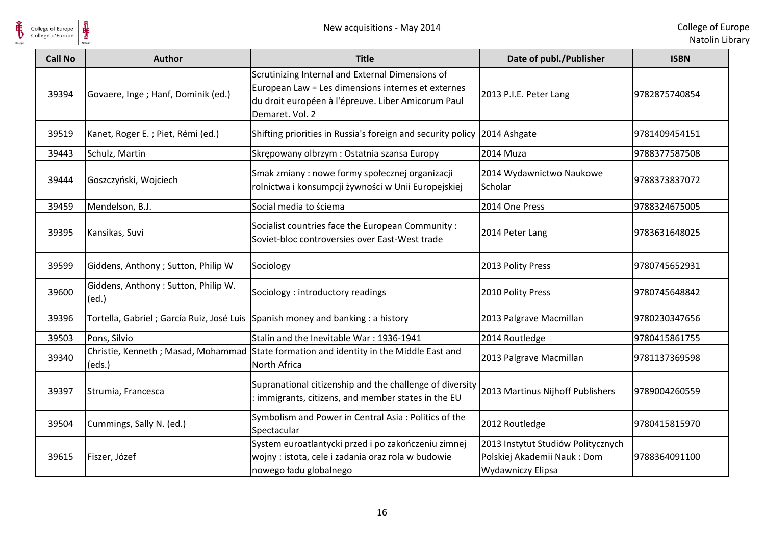

| <b>Call No</b> | <b>Author</b>                                | <b>Title</b>                                                                                                                                                                    | Date of publ./Publisher                                                                       | <b>ISBN</b>   |
|----------------|----------------------------------------------|---------------------------------------------------------------------------------------------------------------------------------------------------------------------------------|-----------------------------------------------------------------------------------------------|---------------|
| 39394          | Govaere, Inge; Hanf, Dominik (ed.)           | Scrutinizing Internal and External Dimensions of<br>European Law = Les dimensions internes et externes<br>du droit européen à l'épreuve. Liber Amicorum Paul<br>Demaret. Vol. 2 | 2013 P.I.E. Peter Lang                                                                        | 9782875740854 |
| 39519          | Kanet, Roger E.; Piet, Rémi (ed.)            | Shifting priorities in Russia's foreign and security policy 2014 Ashgate                                                                                                        |                                                                                               | 9781409454151 |
| 39443          | Schulz, Martin                               | Skrępowany olbrzym: Ostatnia szansa Europy                                                                                                                                      | 2014 Muza                                                                                     | 9788377587508 |
| 39444          | Goszczyński, Wojciech                        | Smak zmiany : nowe formy społecznej organizacji<br>rolnictwa i konsumpcji żywności w Unii Europejskiej                                                                          | 2014 Wydawnictwo Naukowe<br>Scholar                                                           | 9788373837072 |
| 39459          | Mendelson, B.J.                              | Social media to ściema                                                                                                                                                          | 2014 One Press                                                                                | 9788324675005 |
| 39395          | Kansikas, Suvi                               | Socialist countries face the European Community :<br>Soviet-bloc controversies over East-West trade                                                                             | 2014 Peter Lang                                                                               | 9783631648025 |
| 39599          | Giddens, Anthony ; Sutton, Philip W          | Sociology                                                                                                                                                                       | 2013 Polity Press                                                                             | 9780745652931 |
| 39600          | Giddens, Anthony: Sutton, Philip W.<br>(ed.) | Sociology: introductory readings                                                                                                                                                | 2010 Polity Press                                                                             | 9780745648842 |
| 39396          | Tortella, Gabriel ; García Ruiz, José Luis   | Spanish money and banking : a history                                                                                                                                           | 2013 Palgrave Macmillan                                                                       | 9780230347656 |
| 39503          | Pons, Silvio                                 | Stalin and the Inevitable War: 1936-1941                                                                                                                                        | 2014 Routledge                                                                                | 9780415861755 |
| 39340          | (eds.)                                       | Christie, Kenneth; Masad, Mohammad State formation and identity in the Middle East and<br>North Africa                                                                          | 2013 Palgrave Macmillan                                                                       | 9781137369598 |
| 39397          | Strumia, Francesca                           | Supranational citizenship and the challenge of diversity<br>: immigrants, citizens, and member states in the EU                                                                 | 2013 Martinus Nijhoff Publishers                                                              | 9789004260559 |
| 39504          | Cummings, Sally N. (ed.)                     | Symbolism and Power in Central Asia: Politics of the<br>Spectacular                                                                                                             | 2012 Routledge                                                                                | 9780415815970 |
| 39615          | Fiszer, Józef                                | System euroatlantycki przed i po zakończeniu zimnej<br>wojny : istota, cele i zadania oraz rola w budowie<br>nowego ładu globalnego                                             | 2013 Instytut Studiów Politycznych<br>Polskiej Akademii Nauk: Dom<br><b>Wydawniczy Elipsa</b> | 9788364091100 |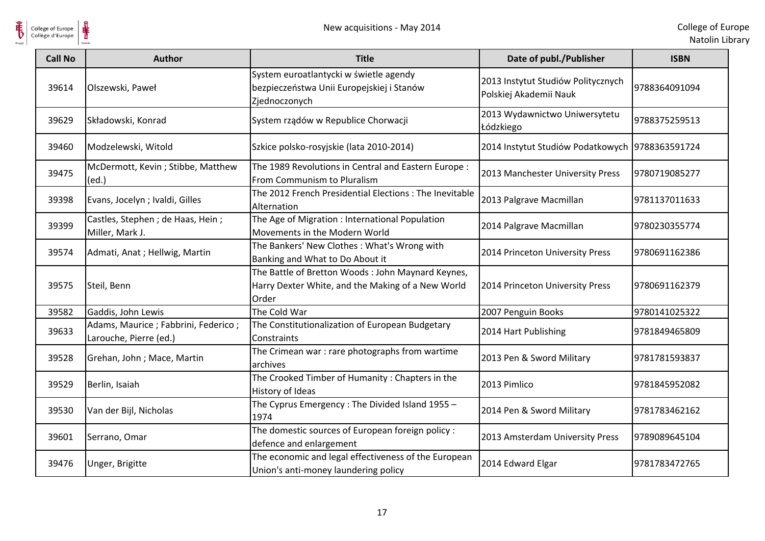

| <b>Call No</b> | <b>Author</b>                                                   | <b>Title</b>                                                                                                    | Date of publ./Publisher                                      | <b>ISBN</b>   |
|----------------|-----------------------------------------------------------------|-----------------------------------------------------------------------------------------------------------------|--------------------------------------------------------------|---------------|
| 39614          | Olszewski, Paweł                                                | System euroatlantycki w świetle agendy<br>bezpieczeństwa Unii Europejskiej i Stanów<br>Zjednoczonych            | 2013 Instytut Studiów Politycznych<br>Polskiej Akademii Nauk | 9788364091094 |
| 39629          | Składowski, Konrad                                              | System rządów w Republice Chorwacji                                                                             | 2013 Wydawnictwo Uniwersytetu<br>Łódzkiego                   | 9788375259513 |
| 39460          | Modzelewski, Witold                                             | Szkice polsko-rosyjskie (lata 2010-2014)                                                                        | 2014 Instytut Studiów Podatkowych 9788363591724              |               |
| 39475          | McDermott, Kevin; Stibbe, Matthew<br>(ed.)                      | The 1989 Revolutions in Central and Eastern Europe:<br>From Communism to Pluralism                              | 2013 Manchester University Press                             | 9780719085277 |
| 39398          | Evans, Jocelyn ; Ivaldi, Gilles                                 | The 2012 French Presidential Elections : The Inevitable<br>Alternation                                          | 2013 Palgrave Macmillan                                      | 9781137011633 |
| 39399          | Castles, Stephen ; de Haas, Hein ;<br>Miller, Mark J.           | The Age of Migration : International Population<br>Movements in the Modern World                                | 2014 Palgrave Macmillan                                      | 9780230355774 |
| 39574          | Admati, Anat; Hellwig, Martin                                   | The Bankers' New Clothes: What's Wrong with<br>Banking and What to Do About it                                  | 2014 Princeton University Press                              | 9780691162386 |
| 39575          | Steil, Benn                                                     | The Battle of Bretton Woods: John Maynard Keynes,<br>Harry Dexter White, and the Making of a New World<br>Order | 2014 Princeton University Press                              | 9780691162379 |
| 39582          | Gaddis, John Lewis                                              | The Cold War                                                                                                    | 2007 Penguin Books                                           | 9780141025322 |
| 39633          | Adams, Maurice ; Fabbrini, Federico ;<br>Larouche, Pierre (ed.) | The Constitutionalization of European Budgetary<br>Constraints                                                  | 2014 Hart Publishing                                         | 9781849465809 |
| 39528          | Grehan, John; Mace, Martin                                      | The Crimean war : rare photographs from wartime<br>archives                                                     | 2013 Pen & Sword Military                                    | 9781781593837 |
| 39529          | Berlin, Isaiah                                                  | The Crooked Timber of Humanity: Chapters in the<br>History of Ideas                                             | 2013 Pimlico                                                 | 9781845952082 |
| 39530          | Van der Bijl, Nicholas                                          | The Cyprus Emergency: The Divided Island 1955 -<br>1974                                                         | 2014 Pen & Sword Military                                    | 9781783462162 |
| 39601          | Serrano, Omar                                                   | The domestic sources of European foreign policy :<br>defence and enlargement                                    | 2013 Amsterdam University Press                              | 9789089645104 |
| 39476          | Unger, Brigitte                                                 | The economic and legal effectiveness of the European<br>Union's anti-money laundering policy                    | 2014 Edward Elgar                                            | 9781783472765 |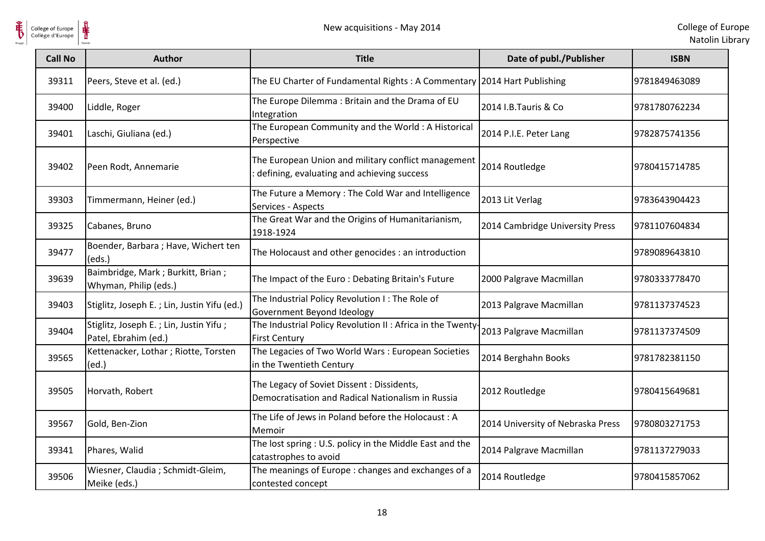

| <b>Call No</b> | Author                                                         | <b>Title</b>                                                                                      | Date of publ./Publisher           | <b>ISBN</b>   |
|----------------|----------------------------------------------------------------|---------------------------------------------------------------------------------------------------|-----------------------------------|---------------|
| 39311          | Peers, Steve et al. (ed.)                                      | The EU Charter of Fundamental Rights: A Commentary 2014 Hart Publishing                           |                                   | 9781849463089 |
| 39400          | Liddle, Roger                                                  | The Europe Dilemma: Britain and the Drama of EU<br>Integration                                    | 2014 I.B.Tauris & Co              | 9781780762234 |
| 39401          | Laschi, Giuliana (ed.)                                         | The European Community and the World: A Historical<br>Perspective                                 | 2014 P.I.E. Peter Lang            | 9782875741356 |
| 39402          | Peen Rodt, Annemarie                                           | The European Union and military conflict management<br>defining, evaluating and achieving success | 2014 Routledge                    | 9780415714785 |
| 39303          | Timmermann, Heiner (ed.)                                       | The Future a Memory: The Cold War and Intelligence<br>Services - Aspects                          | 2013 Lit Verlag                   | 9783643904423 |
| 39325          | Cabanes, Bruno                                                 | The Great War and the Origins of Humanitarianism,<br>1918-1924                                    | 2014 Cambridge University Press   | 9781107604834 |
| 39477          | Boender, Barbara ; Have, Wichert ten<br>(eds.)                 | The Holocaust and other genocides : an introduction                                               |                                   | 9789089643810 |
| 39639          | Baimbridge, Mark; Burkitt, Brian;<br>Whyman, Philip (eds.)     | The Impact of the Euro: Debating Britain's Future                                                 | 2000 Palgrave Macmillan           | 9780333778470 |
| 39403          | Stiglitz, Joseph E.; Lin, Justin Yifu (ed.)                    | The Industrial Policy Revolution I: The Role of<br>Government Beyond Ideology                     | 2013 Palgrave Macmillan           | 9781137374523 |
| 39404          | Stiglitz, Joseph E.; Lin, Justin Yifu;<br>Patel, Ebrahim (ed.) | The Industrial Policy Revolution II : Africa in the Twenty<br><b>First Century</b>                | 2013 Palgrave Macmillan           | 9781137374509 |
| 39565          | Kettenacker, Lothar ; Riotte, Torsten<br>(ed.)                 | The Legacies of Two World Wars: European Societies<br>in the Twentieth Century                    | 2014 Berghahn Books               | 9781782381150 |
| 39505          | Horvath, Robert                                                | The Legacy of Soviet Dissent: Dissidents,<br>Democratisation and Radical Nationalism in Russia    | 2012 Routledge                    | 9780415649681 |
| 39567          | Gold, Ben-Zion                                                 | The Life of Jews in Poland before the Holocaust: A<br>Memoir                                      | 2014 University of Nebraska Press | 9780803271753 |
| 39341          | Phares, Walid                                                  | The lost spring : U.S. policy in the Middle East and the<br>catastrophes to avoid                 | 2014 Palgrave Macmillan           | 9781137279033 |
| 39506          | Wiesner, Claudia ; Schmidt-Gleim,<br>Meike (eds.)              | The meanings of Europe: changes and exchanges of a<br>contested concept                           | 2014 Routledge                    | 9780415857062 |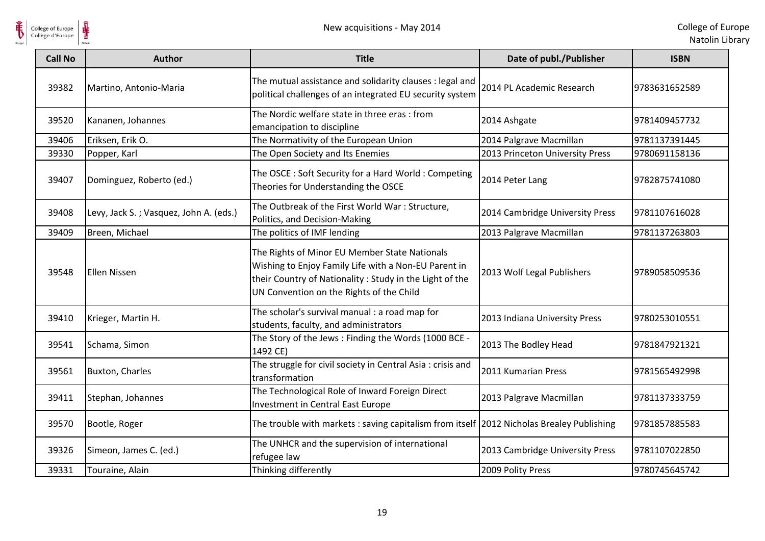

| <b>Call No</b> | Author                                 | <b>Title</b>                                                                                                                                                                                                 | Date of publ./Publisher         | <b>ISBN</b>   |
|----------------|----------------------------------------|--------------------------------------------------------------------------------------------------------------------------------------------------------------------------------------------------------------|---------------------------------|---------------|
| 39382          | Martino, Antonio-Maria                 | The mutual assistance and solidarity clauses : legal and<br>political challenges of an integrated EU security system                                                                                         | 2014 PL Academic Research       | 9783631652589 |
| 39520          | Kananen, Johannes                      | The Nordic welfare state in three eras : from<br>emancipation to discipline                                                                                                                                  | 2014 Ashgate                    | 9781409457732 |
| 39406          | Eriksen, Erik O.                       | The Normativity of the European Union                                                                                                                                                                        | 2014 Palgrave Macmillan         | 9781137391445 |
| 39330          | Popper, Karl                           | The Open Society and Its Enemies                                                                                                                                                                             | 2013 Princeton University Press | 9780691158136 |
| 39407          | Dominguez, Roberto (ed.)               | The OSCE: Soft Security for a Hard World: Competing<br>Theories for Understanding the OSCE                                                                                                                   | 2014 Peter Lang                 | 9782875741080 |
| 39408          | Levy, Jack S.; Vasquez, John A. (eds.) | The Outbreak of the First World War : Structure,<br>Politics, and Decision-Making                                                                                                                            | 2014 Cambridge University Press | 9781107616028 |
| 39409          | Breen, Michael                         | The politics of IMF lending                                                                                                                                                                                  | 2013 Palgrave Macmillan         | 9781137263803 |
| 39548          | Ellen Nissen                           | The Rights of Minor EU Member State Nationals<br>Wishing to Enjoy Family Life with a Non-EU Parent in<br>their Country of Nationality: Study in the Light of the<br>UN Convention on the Rights of the Child | 2013 Wolf Legal Publishers      | 9789058509536 |
| 39410          | Krieger, Martin H.                     | The scholar's survival manual : a road map for<br>students, faculty, and administrators                                                                                                                      | 2013 Indiana University Press   | 9780253010551 |
| 39541          | Schama, Simon                          | The Story of the Jews : Finding the Words (1000 BCE -<br>1492 CE)                                                                                                                                            | 2013 The Bodley Head            | 9781847921321 |
| 39561          | <b>Buxton, Charles</b>                 | The struggle for civil society in Central Asia : crisis and<br>transformation                                                                                                                                | 2011 Kumarian Press             | 9781565492998 |
| 39411          | Stephan, Johannes                      | The Technological Role of Inward Foreign Direct<br>Investment in Central East Europe                                                                                                                         | 2013 Palgrave Macmillan         | 9781137333759 |
| 39570          | Bootle, Roger                          | The trouble with markets: saving capitalism from itself 2012 Nicholas Brealey Publishing                                                                                                                     |                                 | 9781857885583 |
| 39326          | Simeon, James C. (ed.)                 | The UNHCR and the supervision of international<br>refugee law                                                                                                                                                | 2013 Cambridge University Press | 9781107022850 |
| 39331          | Touraine, Alain                        | Thinking differently                                                                                                                                                                                         | 2009 Polity Press               | 9780745645742 |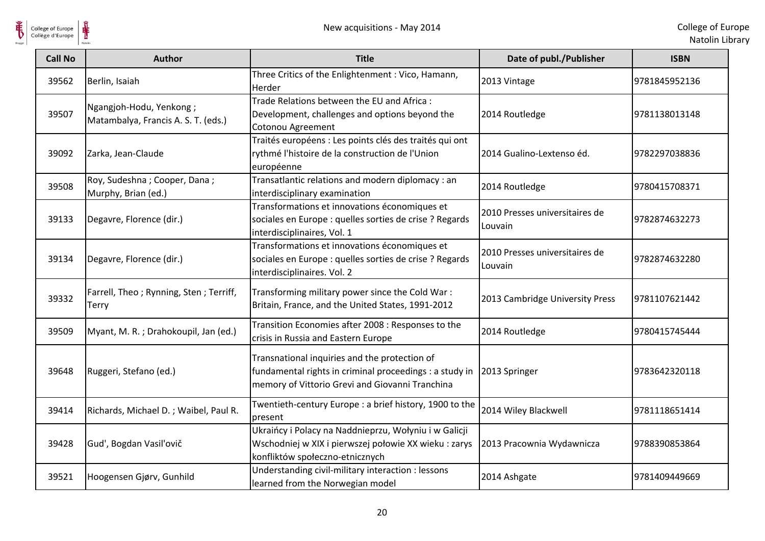

| <b>Call No</b> | <b>Author</b>                                                  | <b>Title</b>                                                                                                                                                | Date of publ./Publisher                   | <b>ISBN</b>   |
|----------------|----------------------------------------------------------------|-------------------------------------------------------------------------------------------------------------------------------------------------------------|-------------------------------------------|---------------|
| 39562          | Berlin, Isaiah                                                 | Three Critics of the Enlightenment : Vico, Hamann,<br>Herder                                                                                                | 2013 Vintage                              | 9781845952136 |
| 39507          | Ngangjoh-Hodu, Yenkong;<br>Matambalya, Francis A. S. T. (eds.) | Trade Relations between the EU and Africa:<br>Development, challenges and options beyond the<br>Cotonou Agreement                                           | 2014 Routledge                            | 9781138013148 |
| 39092          | Zarka, Jean-Claude                                             | Traités européens : Les points clés des traités qui ont<br>rythmé l'histoire de la construction de l'Union<br>européenne                                    | 2014 Gualino-Lextenso éd.                 | 9782297038836 |
| 39508          | Roy, Sudeshna; Cooper, Dana;<br>Murphy, Brian (ed.)            | Transatlantic relations and modern diplomacy : an<br>interdisciplinary examination                                                                          | 2014 Routledge                            | 9780415708371 |
| 39133          | Degavre, Florence (dir.)                                       | Transformations et innovations économiques et<br>sociales en Europe : quelles sorties de crise ? Regards<br>interdisciplinaires, Vol. 1                     | 2010 Presses universitaires de<br>Louvain | 9782874632273 |
| 39134          | Degavre, Florence (dir.)                                       | Transformations et innovations économiques et<br>sociales en Europe : quelles sorties de crise ? Regards<br>interdisciplinaires. Vol. 2                     | 2010 Presses universitaires de<br>Louvain | 9782874632280 |
| 39332          | Farrell, Theo; Rynning, Sten; Terriff,<br><b>Terry</b>         | Transforming military power since the Cold War:<br>Britain, France, and the United States, 1991-2012                                                        | 2013 Cambridge University Press           | 9781107621442 |
| 39509          | Myant, M. R.; Drahokoupil, Jan (ed.)                           | Transition Economies after 2008 : Responses to the<br>crisis in Russia and Eastern Europe                                                                   | 2014 Routledge                            | 9780415745444 |
| 39648          | Ruggeri, Stefano (ed.)                                         | Transnational inquiries and the protection of<br>fundamental rights in criminal proceedings : a study in<br>memory of Vittorio Grevi and Giovanni Tranchina | 2013 Springer                             | 9783642320118 |
| 39414          | Richards, Michael D.; Waibel, Paul R.                          | Twentieth-century Europe : a brief history, 1900 to the<br>present                                                                                          | 2014 Wiley Blackwell                      | 9781118651414 |
| 39428          | Gud', Bogdan Vasil'ovič                                        | Ukraińcy i Polacy na Naddnieprzu, Wołyniu i w Galicji<br>Wschodniej w XIX i pierwszej połowie XX wieku : zarys<br>konfliktów społeczno-etnicznych           | 2013 Pracownia Wydawnicza                 | 9788390853864 |
| 39521          | Hoogensen Gjørv, Gunhild                                       | Understanding civil-military interaction : lessons<br>learned from the Norwegian model                                                                      | 2014 Ashgate                              | 9781409449669 |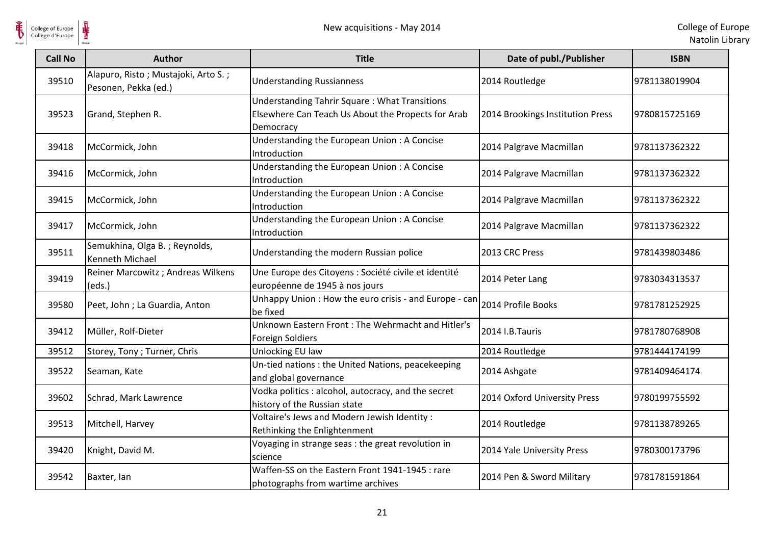

| <b>Call No</b> | <b>Author</b>                                               | <b>Title</b>                                                                                                            | Date of publ./Publisher          | <b>ISBN</b>   |
|----------------|-------------------------------------------------------------|-------------------------------------------------------------------------------------------------------------------------|----------------------------------|---------------|
| 39510          | Alapuro, Risto; Mustajoki, Arto S.;<br>Pesonen, Pekka (ed.) | <b>Understanding Russianness</b>                                                                                        | 2014 Routledge                   | 9781138019904 |
| 39523          | Grand, Stephen R.                                           | <b>Understanding Tahrir Square: What Transitions</b><br>Elsewhere Can Teach Us About the Propects for Arab<br>Democracy | 2014 Brookings Institution Press | 9780815725169 |
| 39418          | McCormick, John                                             | Understanding the European Union: A Concise<br>Introduction                                                             | 2014 Palgrave Macmillan          | 9781137362322 |
| 39416          | McCormick, John                                             | Understanding the European Union: A Concise<br>Introduction                                                             | 2014 Palgrave Macmillan          | 9781137362322 |
| 39415          | McCormick, John                                             | Understanding the European Union: A Concise<br>Introduction                                                             | 2014 Palgrave Macmillan          | 9781137362322 |
| 39417          | McCormick, John                                             | Understanding the European Union: A Concise<br>Introduction                                                             | 2014 Palgrave Macmillan          | 9781137362322 |
| 39511          | Semukhina, Olga B.; Reynolds,<br><b>Kenneth Michael</b>     | Understanding the modern Russian police                                                                                 | 2013 CRC Press                   | 9781439803486 |
| 39419          | Reiner Marcowitz ; Andreas Wilkens<br>(eds.)                | Une Europe des Citoyens : Société civile et identité<br>européenne de 1945 à nos jours                                  | 2014 Peter Lang                  | 9783034313537 |
| 39580          | Peet, John; La Guardia, Anton                               | Unhappy Union: How the euro crisis - and Europe - can<br>be fixed                                                       | 2014 Profile Books               | 9781781252925 |
| 39412          | Müller, Rolf-Dieter                                         | Unknown Eastern Front: The Wehrmacht and Hitler's<br><b>Foreign Soldiers</b>                                            | 2014 I.B.Tauris                  | 9781780768908 |
| 39512          | Storey, Tony; Turner, Chris                                 | Unlocking EU law                                                                                                        | 2014 Routledge                   | 9781444174199 |
| 39522          | Seaman, Kate                                                | Un-tied nations : the United Nations, peacekeeping<br>and global governance                                             | 2014 Ashgate                     | 9781409464174 |
| 39602          | Schrad, Mark Lawrence                                       | Vodka politics : alcohol, autocracy, and the secret<br>history of the Russian state                                     | 2014 Oxford University Press     | 9780199755592 |
| 39513          | Mitchell, Harvey                                            | Voltaire's Jews and Modern Jewish Identity:<br>Rethinking the Enlightenment                                             | 2014 Routledge                   | 9781138789265 |
| 39420          | Knight, David M.                                            | Voyaging in strange seas : the great revolution in<br>science                                                           | 2014 Yale University Press       | 9780300173796 |
| 39542          | Baxter, Ian                                                 | Waffen-SS on the Eastern Front 1941-1945 : rare<br>photographs from wartime archives                                    | 2014 Pen & Sword Military        | 9781781591864 |